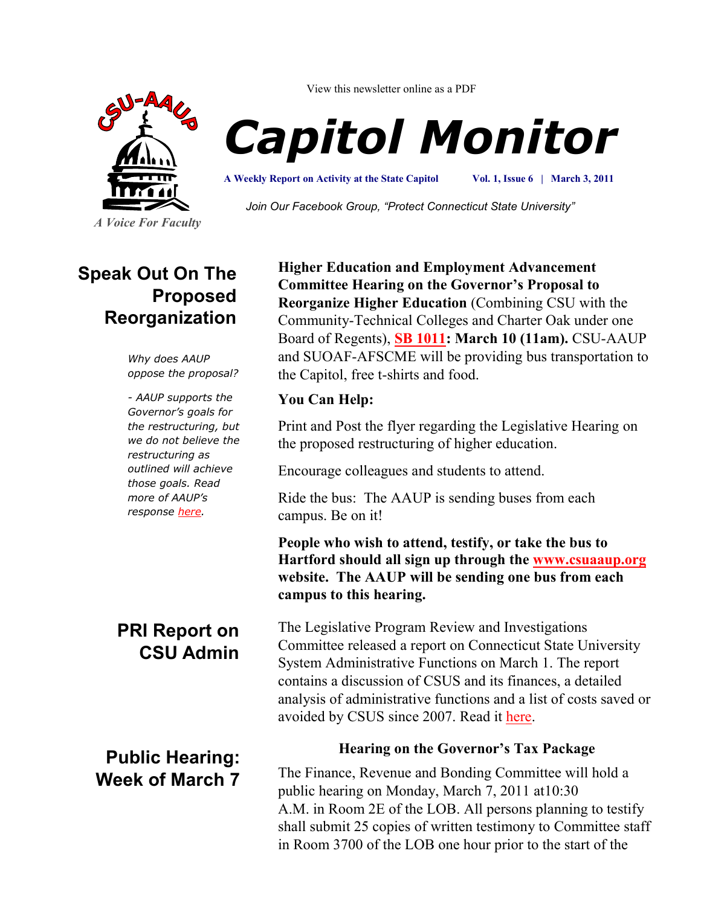

*A Voice For Faculty*

View this newsletter online as a PDF

# *Capitol Monitor*

**A Weekly Report on Activity at the State Capitol**

**Vol. 1, Issue 6 | March 3, 2011**

*Join Our Facebook Group, "Protect Connecticut State University"*

## **Speak Out On The Proposed Reorganization**

*Why does AAUP oppose the proposal?*

*- AAUP supports the Governor's goals for the restructuring, but we do not believe the restructuring as outlined will achieve those goals. Read more of AAUP's response [here.](http://www.csuaaup.org/wp-content/uploads/2011/02/CSUAAUPResponsetoBudget.pdf)*

## **PRI Report on CSU Admin**

**Public Hearing: Week of March 7** **Higher Education and Employment Advancement Committee Hearing on the Governor's Proposal to Reorganize Higher Education** (Combining CSU with the Community-Technical Colleges and Charter Oak under one Board of Regents), **[SB 1011:](http://www.cga.ct.gov/2011/TOB/s/pdf/2011SB-01011-R00-SB.pdf) March 10 (11am).** CSU-AAUP and SUOAF-AFSCME will be providing bus transportation to the Capitol, free t-shirts and food.

#### **You Can Help:**

Print and Post the flyer regarding the Legislative Hearing on the proposed restructuring of higher education.

Encourage colleagues and students to attend.

Ride the bus: The AAUP is sending buses from each campus. Be on it!

**People who wish to attend, testify, or take the bus to Hartford should all sign up through the [www.csuaaup.org](http://www.csuaaup.org) website. The AAUP will be sending one bus from each campus to this hearing.**

The Legislative Program Review and Investigations Committee released a report on Connecticut State University System Administrative Functions on March 1. The report contains a discussion of CSUS and its finances, a detailed analysis of administrative functions and a list of costs saved or avoided by CSUS since 2007. Read it [here.](http://www.cga.ct.gov/pri/docs/2010/CSUS_Admin_Committee_Approved_Report.pdf) 

#### **Hearing on the Governor's Tax Package**

The Finance, Revenue and Bonding Committee will hold a public hearing on Monday, March 7, 2011 at10:30 A.M. in Room 2E of the LOB. All persons planning to testify shall submit 25 copies of written testimony to Committee staff in Room 3700 of the LOB one hour prior to the start of the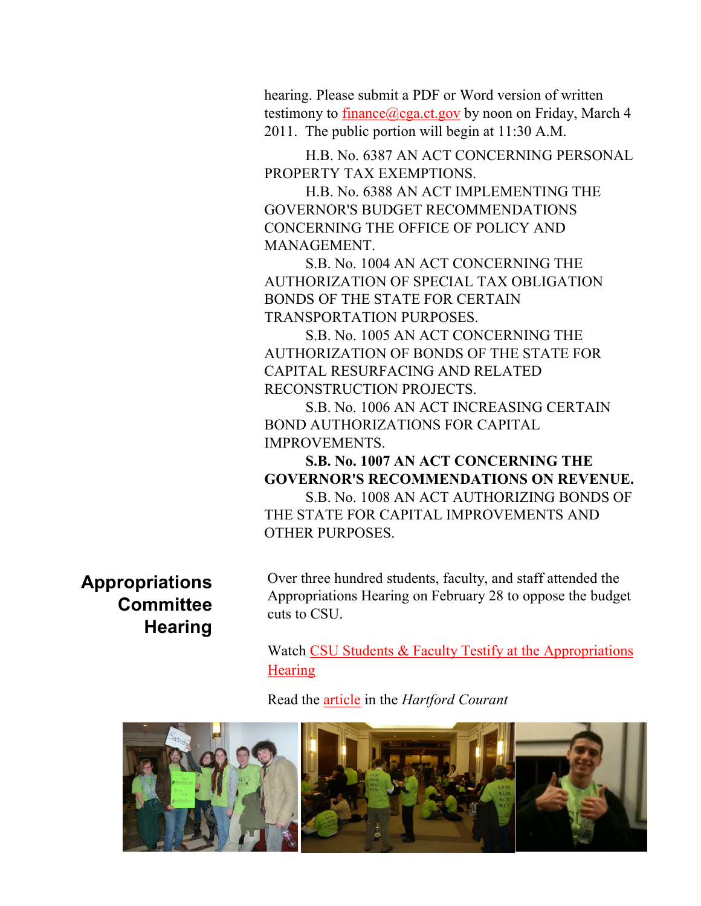hearing. Please submit a PDF or Word version of written testimony to [finance@cga.ct.gov](mailto:finance@cga.ct.gov) by noon on Friday, March 4 2011. The public portion will begin at 11:30 A.M.

H.B. No. 6387 AN ACT CONCERNING PERSONAL PROPERTY TAX EXEMPTIONS.

H.B. No. 6388 AN ACT IMPLEMENTING THE GOVERNOR'S BUDGET RECOMMENDATIONS CONCERNING THE OFFICE OF POLICY AND MANAGEMENT.

S.B. No. 1004 AN ACT CONCERNING THE AUTHORIZATION OF SPECIAL TAX OBLIGATION BONDS OF THE STATE FOR CERTAIN TRANSPORTATION PURPOSES.

S.B. No. 1005 AN ACT CONCERNING THE AUTHORIZATION OF BONDS OF THE STATE FOR CAPITAL RESURFACING AND RELATED RECONSTRUCTION PROJECTS.

S.B. No. 1006 AN ACT INCREASING CERTAIN BOND AUTHORIZATIONS FOR CAPITAL IMPROVEMENTS.

**S.B. No. 1007 AN ACT CONCERNING THE GOVERNOR'S RECOMMENDATIONS ON REVENUE.**

S.B. No. 1008 AN ACT AUTHORIZING BONDS OF THE STATE FOR CAPITAL IMPROVEMENTS AND OTHER PURPOSES.

**Appropriations Committee Hearing**

Over three hundred students, faculty, and staff attended the Appropriations Hearing on February 28 to oppose the budget cuts to CSU.

Watch CSU Students & Faculty Testify at the Appropriations **[Hearing](http://www.csuaaup.org/?page_id=1141)** 

Read the [article](http://www.courant.com/news/education/hc-students-protest-hearing-0301-20110228,0,4050455.story) in the *Hartford Courant*